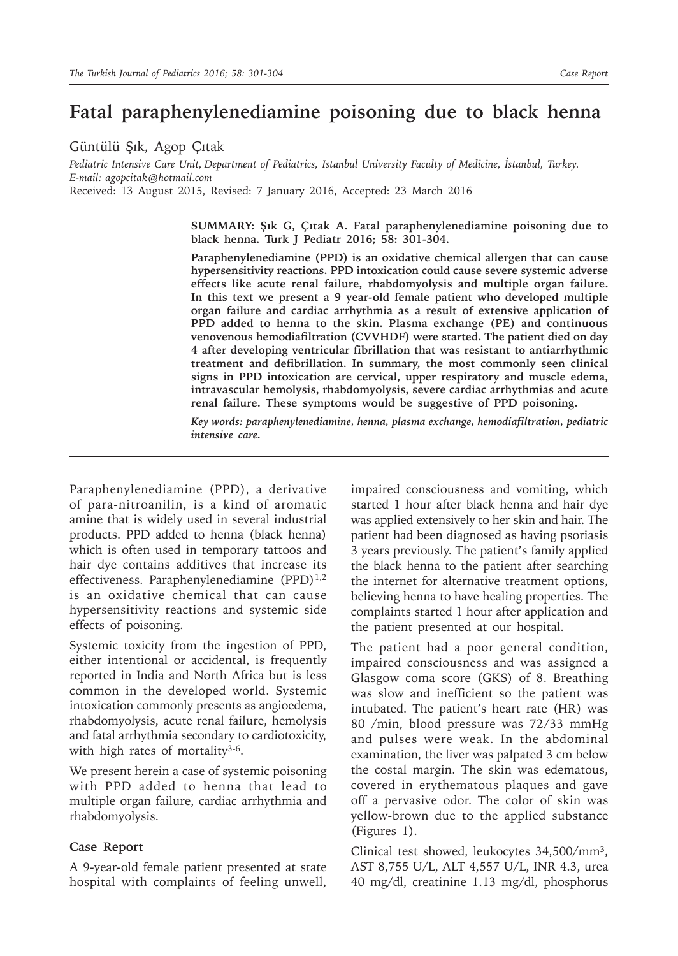# **Fatal paraphenylenediamine poisoning due to black henna**

Güntülü Şık, Agop Çıtak

*Pediatric Intensive Care Unit, Department of Pediatrics, Istanbul University Faculty of Medicine, İstanbul, Turkey. E-mail: agopcitak@hotmail.com* Received: 13 August 2015, Revised: 7 January 2016, Accepted: 23 March 2016

> **SUMMARY: Şık G, Çıtak A. Fatal paraphenylenediamine poisoning due to black henna. Turk J Pediatr 2016; 58: 301-304.**

> **Paraphenylenediamine (PPD) is an oxidative chemical allergen that can cause hypersensitivity reactions. PPD intoxication could cause severe systemic adverse effects like acute renal failure, rhabdomyolysis and multiple organ failure. In this text we present a 9 year-old female patient who developed multiple organ failure and cardiac arrhythmia as a result of extensive application of PPD added to henna to the skin. Plasma exchange (PE) and continuous venovenous hemodiafiltration (CVVHDF) were started. The patient died on day 4 after developing ventricular fibrillation that was resistant to antiarrhythmic treatment and defibrillation. In summary, the most commonly seen clinical signs in PPD intoxication are cervical, upper respiratory and muscle edema, intravascular hemolysis, rhabdomyolysis, severe cardiac arrhythmias and acute renal failure. These symptoms would be suggestive of PPD poisoning.**

> *Key words: paraphenylenediamine, henna, plasma exchange, hemodiafiltration, pediatric intensive care.*

Paraphenylenediamine (PPD), a derivative of para-nitroanilin, is a kind of aromatic amine that is widely used in several industrial products. PPD added to henna (black henna) which is often used in temporary tattoos and hair dye contains additives that increase its effectiveness. Paraphenylenediamine (PPD)<sup>1,2</sup> is an oxidative chemical that can cause hypersensitivity reactions and systemic side effects of poisoning.

Systemic toxicity from the ingestion of PPD, either intentional or accidental, is frequently reported in India and North Africa but is less common in the developed world. Systemic intoxication commonly presents as angioedema, rhabdomyolysis, acute renal failure, hemolysis and fatal arrhythmia secondary to cardiotoxicity, with high rates of mortality<sup>3-6</sup>.

We present herein a case of systemic poisoning with PPD added to henna that lead to multiple organ failure, cardiac arrhythmia and rhabdomyolysis.

## **Case Report**

A 9-year-old female patient presented at state hospital with complaints of feeling unwell,

impaired consciousness and vomiting, which started 1 hour after black henna and hair dye was applied extensively to her skin and hair. The patient had been diagnosed as having psoriasis 3 years previously. The patient's family applied the black henna to the patient after searching the internet for alternative treatment options, believing henna to have healing properties. The complaints started 1 hour after application and the patient presented at our hospital.

The patient had a poor general condition, impaired consciousness and was assigned a Glasgow coma score (GKS) of 8. Breathing was slow and inefficient so the patient was intubated. The patient's heart rate (HR) was 80 /min, blood pressure was 72/33 mmHg and pulses were weak. In the abdominal examination, the liver was palpated 3 cm below the costal margin. The skin was edematous, covered in erythematous plaques and gave off a pervasive odor. The color of skin was yellow-brown due to the applied substance (Figures 1).

Clinical test showed, leukocytes 34,500/mm3, AST 8,755 U/L, ALT 4,557 U/L, INR 4.3, urea 40 mg/dl, creatinine 1.13 mg/dl, phosphorus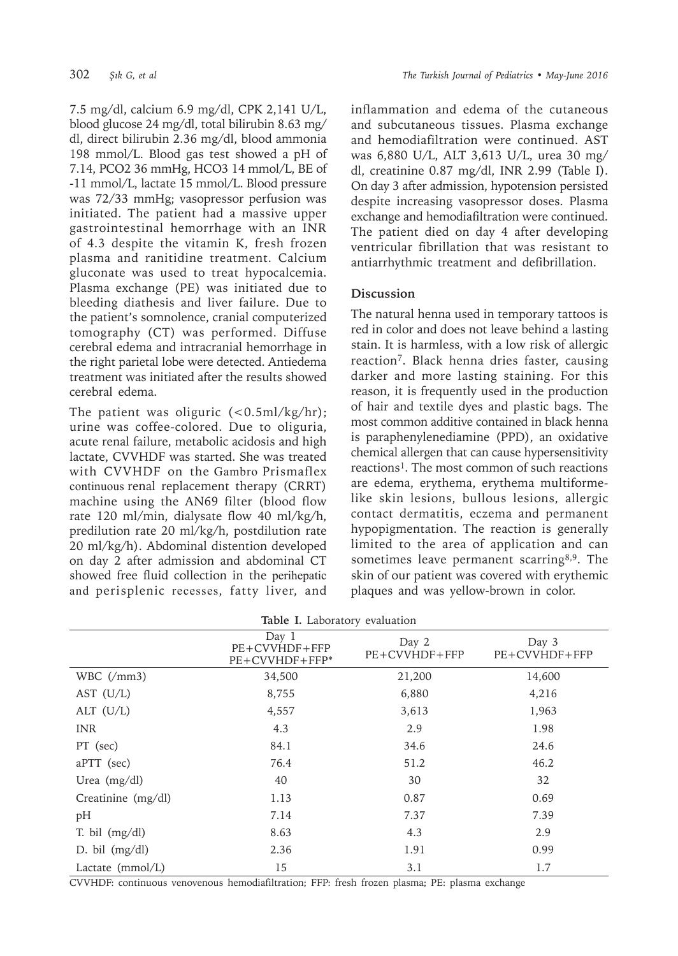7.5 mg/dl, calcium 6.9 mg/dl, CPK 2,141 U/L, blood glucose 24 mg/dl, total bilirubin 8.63 mg/ dl, direct bilirubin 2.36 mg/dl, blood ammonia 198 mmol/L. Blood gas test showed a pH of 7.14, PCO2 36 mmHg, HCO3 14 mmol/L, BE of -11 mmol/L, lactate 15 mmol/L. Blood pressure was 72/33 mmHg; vasopressor perfusion was initiated. The patient had a massive upper gastrointestinal hemorrhage with an INR of 4.3 despite the vitamin K, fresh frozen plasma and ranitidine treatment. Calcium gluconate was used to treat hypocalcemia. Plasma exchange (PE) was initiated due to bleeding diathesis and liver failure. Due to the patient's somnolence, cranial computerized tomography (CT) was performed. Diffuse cerebral edema and intracranial hemorrhage in the right parietal lobe were detected. Antiedema treatment was initiated after the results showed cerebral edema.

The patient was oliguric  $(<0.5 \text{ml/kg/hr})$ ; urine was coffee-colored. Due to oliguria, acute renal failure, metabolic acidosis and high lactate, CVVHDF was started. She was treated with CVVHDF on the Gambro Prismaflex continuous renal replacement therapy (CRRT) machine using the AN69 filter (blood flow rate 120 ml/min, dialysate flow 40 ml/kg/h, predilution rate 20 ml/kg/h, postdilution rate 20 ml/kg/h). Abdominal distention developed on day 2 after admission and abdominal CT showed free fluid collection in the perihepatic and perisplenic recesses, fatty liver, and inflammation and edema of the cutaneous and subcutaneous tissues. Plasma exchange and hemodiafiltration were continued. AST was 6,880 U/L, ALT 3,613 U/L, urea 30 mg/ dl, creatinine 0.87 mg/dl, INR 2.99 (Table I). On day 3 after admission, hypotension persisted despite increasing vasopressor doses. Plasma exchange and hemodiafiltration were continued. The patient died on day 4 after developing ventricular fibrillation that was resistant to antiarrhythmic treatment and defibrillation.

## **Discussion**

The natural henna used in temporary tattoos is red in color and does not leave behind a lasting stain. It is harmless, with a low risk of allergic reaction7. Black henna dries faster, causing darker and more lasting staining. For this reason, it is frequently used in the production of hair and textile dyes and plastic bags. The most common additive contained in black henna is paraphenylenediamine (PPD), an oxidative chemical allergen that can cause hypersensitivity reactions<sup>1</sup>. The most common of such reactions are edema, erythema, erythema multiformelike skin lesions, bullous lesions, allergic contact dermatitis, eczema and permanent hypopigmentation. The reaction is generally limited to the area of application and can sometimes leave permanent scarring<sup>8,9</sup>. The skin of our patient was covered with erythemic plaques and was yellow-brown in color.

| Table I. Laboratory evaluation |  |
|--------------------------------|--|
|--------------------------------|--|

|                                | Day $1$<br>$PE+CVVHDF+FFP$<br>$PE+CVVHDF+FFP*$ | Day 2<br>$PE+CVVHDF+FFP$ | Day 3<br>$PE+CVVHDF+FFP$ |  |
|--------------------------------|------------------------------------------------|--------------------------|--------------------------|--|
| WBC $\left(\frac{\}{m}\right)$ | 34,500                                         | 21,200                   | 14,600                   |  |
| AST $(U/L)$                    | 8,755                                          | 6,880                    | 4,216                    |  |
| ALT $(U/L)$                    | 4,557                                          | 3,613                    | 1,963                    |  |
| <b>INR</b>                     | 4.3                                            | 2.9                      | 1.98                     |  |
| PT (sec)                       | 84.1                                           | 34.6                     | 24.6                     |  |
| aPTT (sec)                     | 76.4                                           | 51.2                     | 46.2                     |  |
| Urea (mg/dl)                   | 40                                             | 30                       | 32                       |  |
| Creatinine (mg/dl)             | 1.13                                           | 0.87                     | 0.69                     |  |
| pH                             | 7.14                                           | 7.37                     | 7.39                     |  |
| T. bil $(mg/dl)$               | 8.63                                           | 4.3                      | 2.9                      |  |
| D. bil $(mg/dl)$               | 2.36                                           | 1.91                     | 0.99                     |  |
| Lactate (mmol/L)               | 15                                             | 3.1                      | 1.7                      |  |

CVVHDF: continuous venovenous hemodiafiltration; FFP: fresh frozen plasma; PE: plasma exchange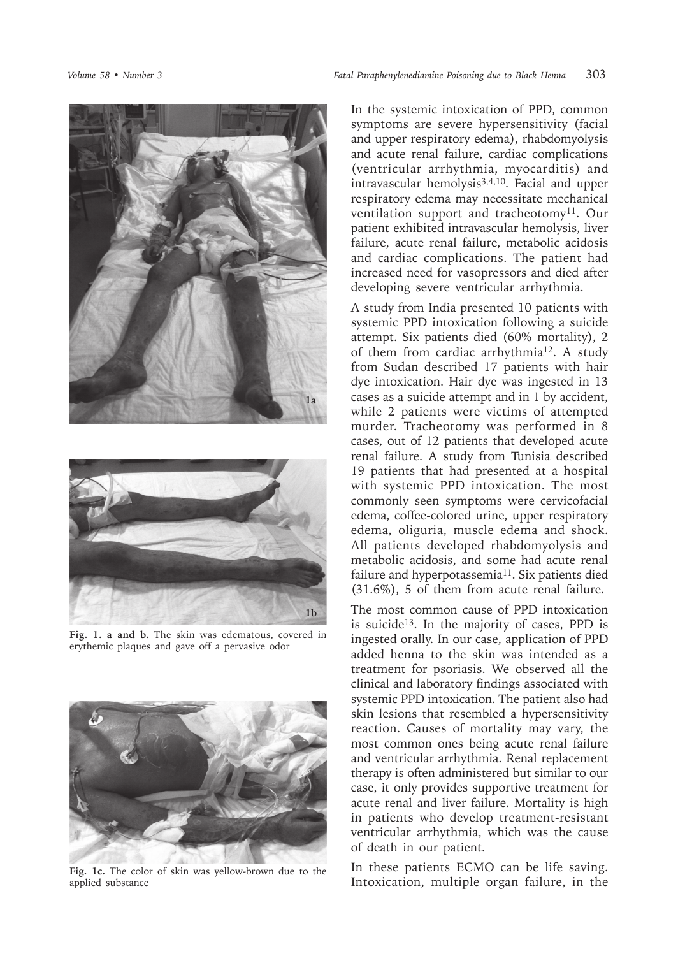



**Fig. 1. a and b.** The skin was edematous, covered in erythemic plaques and gave off a pervasive odor



**Fig. 1c.** The color of skin was yellow-brown due to the applied substance

In the systemic intoxication of PPD, common symptoms are severe hypersensitivity (facial and upper respiratory edema), rhabdomyolysis and acute renal failure, cardiac complications (ventricular arrhythmia, myocarditis) and intravascular hemolysis $3,4,10$ . Facial and upper respiratory edema may necessitate mechanical ventilation support and tracheotomy<sup>11</sup>. Our patient exhibited intravascular hemolysis, liver failure, acute renal failure, metabolic acidosis and cardiac complications. The patient had increased need for vasopressors and died after developing severe ventricular arrhythmia.

A study from India presented 10 patients with systemic PPD intoxication following a suicide attempt. Six patients died (60% mortality), 2 of them from cardiac arrhythmia<sup>12</sup>. A study from Sudan described 17 patients with hair dye intoxication. Hair dye was ingested in 13 cases as a suicide attempt and in 1 by accident, while 2 patients were victims of attempted murder. Tracheotomy was performed in 8 cases, out of 12 patients that developed acute renal failure. A study from Tunisia described 19 patients that had presented at a hospital with systemic PPD intoxication. The most commonly seen symptoms were cervicofacial edema, coffee-colored urine, upper respiratory edema, oliguria, muscle edema and shock. All patients developed rhabdomyolysis and metabolic acidosis, and some had acute renal failure and hyperpotassemia<sup>11</sup>. Six patients died (31.6%), 5 of them from acute renal failure.

The most common cause of PPD intoxication is suicide<sup>13</sup>. In the majority of cases, PPD is ingested orally. In our case, application of PPD added henna to the skin was intended as a treatment for psoriasis. We observed all the clinical and laboratory findings associated with systemic PPD intoxication. The patient also had skin lesions that resembled a hypersensitivity reaction. Causes of mortality may vary, the most common ones being acute renal failure and ventricular arrhythmia. Renal replacement therapy is often administered but similar to our case, it only provides supportive treatment for acute renal and liver failure. Mortality is high in patients who develop treatment-resistant ventricular arrhythmia, which was the cause of death in our patient.

In these patients ECMO can be life saving. Intoxication, multiple organ failure, in the